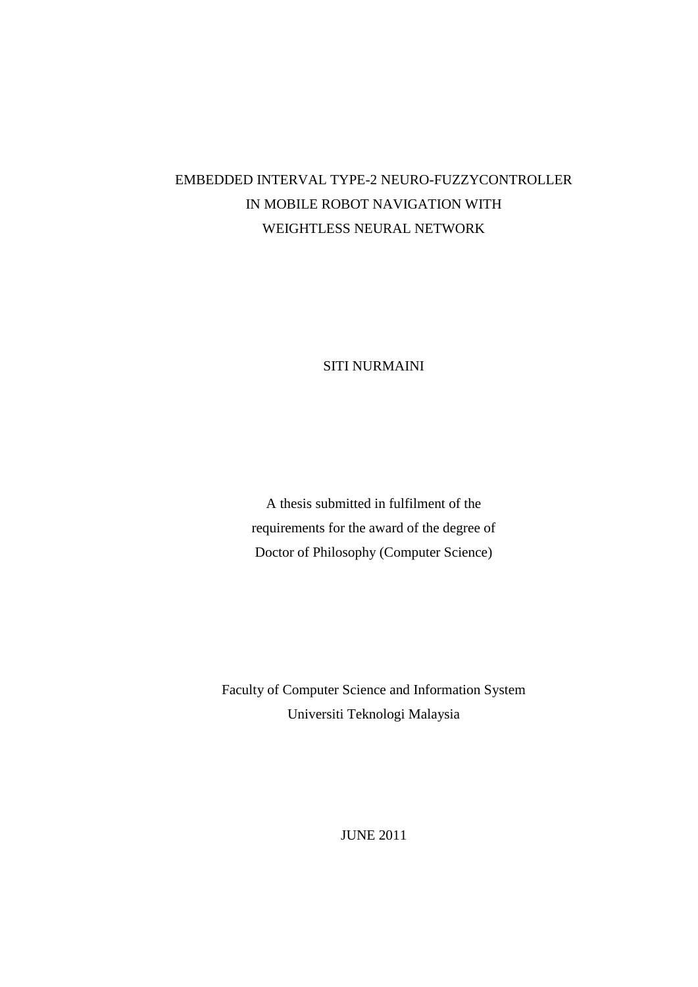# EMBEDDED INTERVAL TYPE-2 NEURO-FUZZYCONTROLLER IN MOBILE ROBOT NAVIGATION WITH WEIGHTLESS NEURAL NETWORK

SITI NURMAINI

A thesis submitted in fulfilment of the requirements for the award of the degree of Doctor of Philosophy (Computer Science)

Faculty of Computer Science and Information System Universiti Teknologi Malaysia

JUNE 2011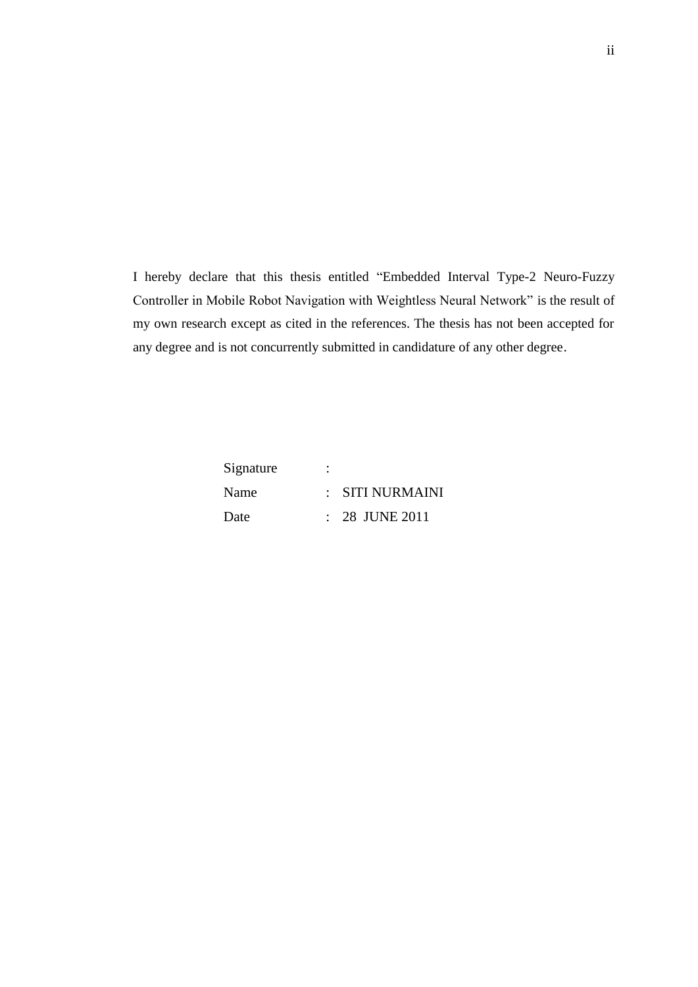I hereby declare that this thesis entitled "Embedded Interval Type-2 Neuro-Fuzzy Controller in Mobile Robot Navigation with Weightless Neural Network" is the result of my own research except as cited in the references. The thesis has not been accepted for any degree and is not concurrently submitted in candidature of any other degree.

| Signature | ٠ |                  |
|-----------|---|------------------|
| Name      |   | : SITI NURMAINI  |
| Date      |   | $: 28$ JUNE 2011 |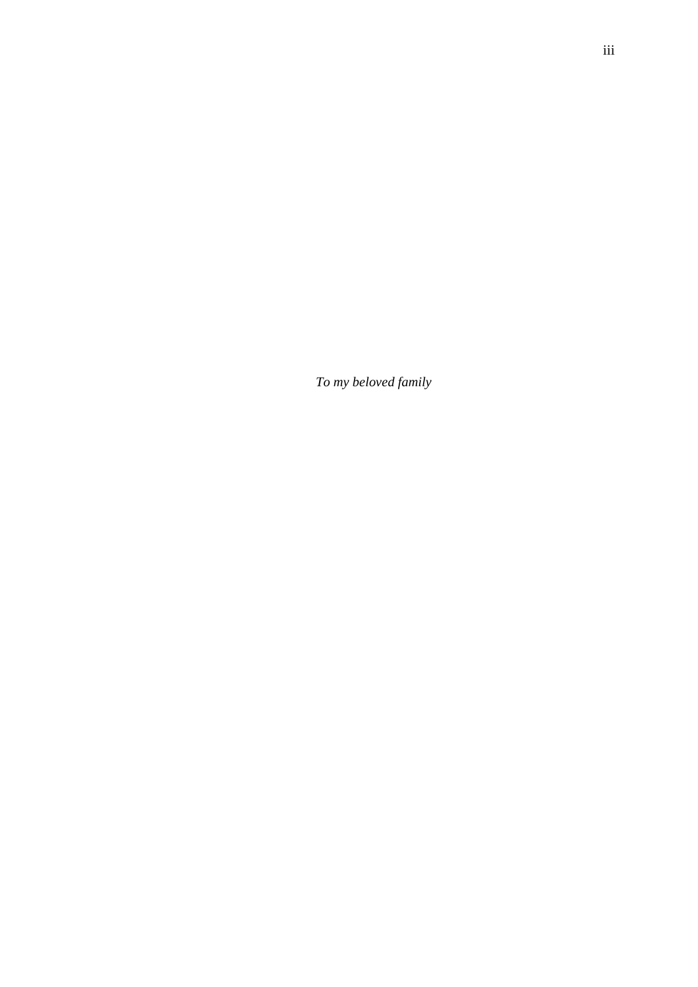*To my beloved family*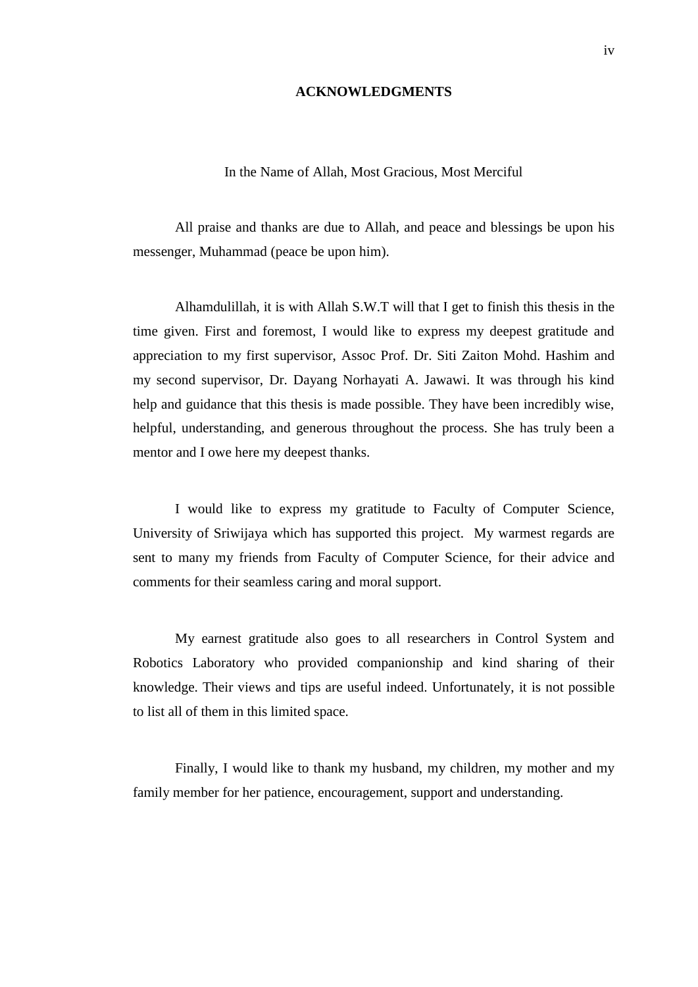## **ACKNOWLEDGMENTS**

## In the Name of Allah, Most Gracious, Most Merciful

All praise and thanks are due to Allah, and peace and blessings be upon his messenger, Muhammad (peace be upon him).

Alhamdulillah, it is with Allah S.W.T will that I get to finish this thesis in the time given. First and foremost, I would like to express my deepest gratitude and appreciation to my first supervisor, Assoc Prof. Dr. Siti Zaiton Mohd. Hashim and my second supervisor, Dr. Dayang Norhayati A. Jawawi. It was through his kind help and guidance that this thesis is made possible. They have been incredibly wise, helpful, understanding, and generous throughout the process. She has truly been a mentor and I owe here my deepest thanks.

I would like to express my gratitude to Faculty of Computer Science, University of Sriwijaya which has supported this project. My warmest regards are sent to many my friends from Faculty of Computer Science, for their advice and comments for their seamless caring and moral support.

My earnest gratitude also goes to all researchers in Control System and Robotics Laboratory who provided companionship and kind sharing of their knowledge. Their views and tips are useful indeed. Unfortunately, it is not possible to list all of them in this limited space.

Finally, I would like to thank my husband, my children, my mother and my family member for her patience, encouragement, support and understanding.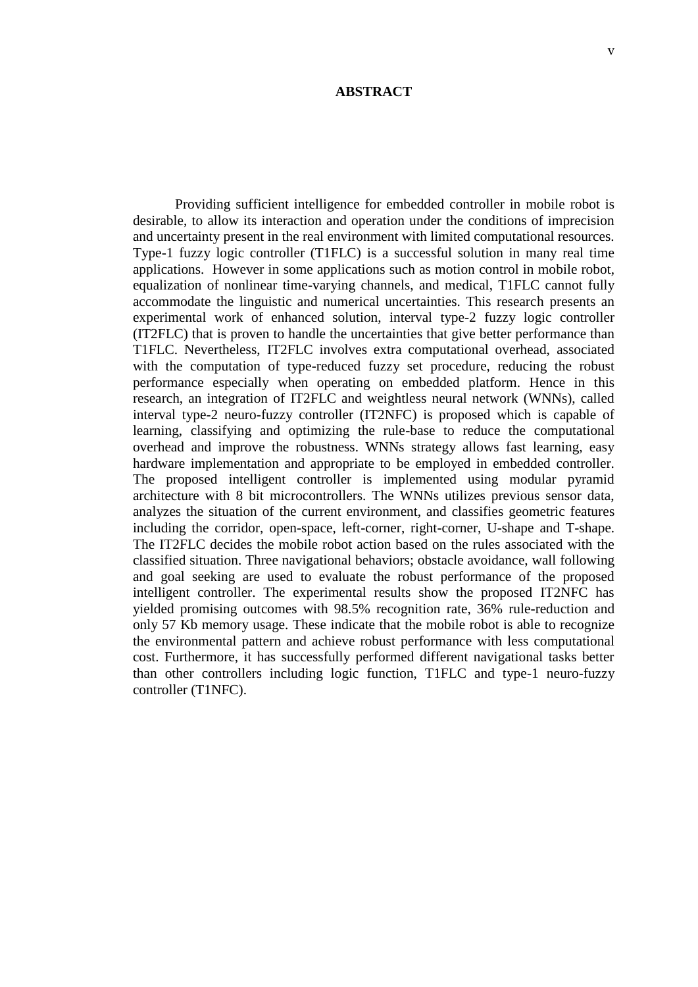### **ABSTRACT**

Providing sufficient intelligence for embedded controller in mobile robot is desirable, to allow its interaction and operation under the conditions of imprecision and uncertainty present in the real environment with limited computational resources. Type-1 fuzzy logic controller (T1FLC) is a successful solution in many real time applications. However in some applications such as motion control in mobile robot, equalization of nonlinear time-varying channels, and medical, T1FLC cannot fully accommodate the linguistic and numerical uncertainties. This research presents an experimental work of enhanced solution, interval type-2 fuzzy logic controller (IT2FLC) that is proven to handle the uncertainties that give better performance than T1FLC. Nevertheless, IT2FLC involves extra computational overhead, associated with the computation of type-reduced fuzzy set procedure, reducing the robust performance especially when operating on embedded platform. Hence in this research, an integration of IT2FLC and weightless neural network (WNNs), called interval type-2 neuro-fuzzy controller (IT2NFC) is proposed which is capable of learning, classifying and optimizing the rule-base to reduce the computational overhead and improve the robustness. WNNs strategy allows fast learning, easy hardware implementation and appropriate to be employed in embedded controller. The proposed intelligent controller is implemented using modular pyramid architecture with 8 bit microcontrollers. The WNNs utilizes previous sensor data, analyzes the situation of the current environment, and classifies geometric features including the corridor, open-space, left-corner, right-corner, U-shape and T-shape. The IT2FLC decides the mobile robot action based on the rules associated with the classified situation. Three navigational behaviors; obstacle avoidance, wall following and goal seeking are used to evaluate the robust performance of the proposed intelligent controller. The experimental results show the proposed IT2NFC has yielded promising outcomes with 98.5% recognition rate, 36% rule-reduction and only 57 Kb memory usage. These indicate that the mobile robot is able to recognize the environmental pattern and achieve robust performance with less computational cost. Furthermore, it has successfully performed different navigational tasks better than other controllers including logic function, T1FLC and type-1 neuro-fuzzy controller (T1NFC).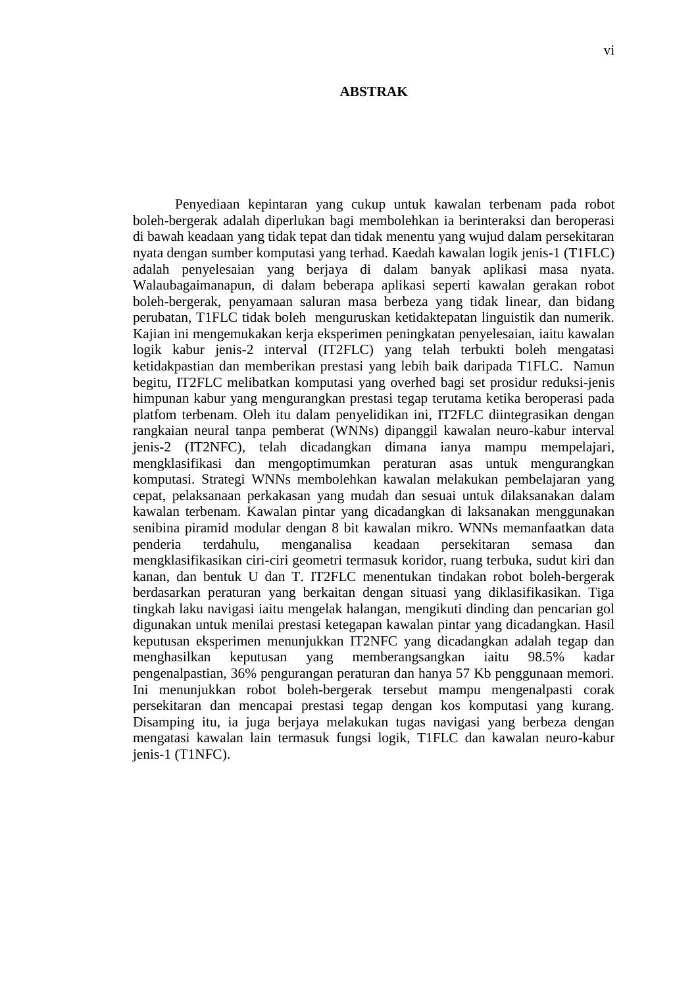#### **ABSTRAK**

Penyediaan kepintaran yang cukup untuk kawalan terbenam pada robot boleh-bergerak adalah diperlukan bagi membolehkan ia berinteraksi dan beroperasi di bawah keadaan yang tidak tepat dan tidak menentu yang wujud dalam persekitaran nyata dengan sumber komputasi yang terhad. Kaedah kawalan logik jenis-1 (T1FLC) adalah penyelesaian yang berjaya di dalam banyak aplikasi masa nyata. Walaubagaimanapun, di dalam beberapa aplikasi seperti kawalan gerakan robot boleh-bergerak, penyamaan saluran masa berbeza yang tidak linear, dan bidang perubatan, T1FLC tidak boleh menguruskan ketidaktepatan linguistik dan numerik. Kajian ini mengemukakan kerja eksperimen peningkatan penyelesaian, iaitu kawalan logik kabur jenis-2 interval (IT2FLC) yang telah terbukti boleh mengatasi ketidakpastian dan memberikan prestasi yang lebih baik daripada T1FLC. Namun begitu, IT2FLC melibatkan komputasi yang overhed bagi set prosidur reduksi-jenis himpunan kabur yang mengurangkan prestasi tegap terutama ketika beroperasi pada platfom terbenam. Oleh itu dalam penyelidikan ini, IT2FLC diintegrasikan dengan rangkaian neural tanpa pemberat (WNNs) dipanggil kawalan neuro-kabur interval jenis-2 (IT2NFC)*,* telah dicadangkan dimana ianya mampu mempelajari, mengklasifikasi dan mengoptimumkan peraturan asas untuk mengurangkan komputasi. Strategi WNNs membolehkan kawalan melakukan pembelajaran yang cepat, pelaksanaan perkakasan yang mudah dan sesuai untuk dilaksanakan dalam kawalan terbenam. Kawalan pintar yang dicadangkan di laksanakan menggunakan senibina piramid modular dengan 8 bit kawalan mikro. WNNs memanfaatkan data penderia terdahulu, menganalisa keadaan persekitaran semasa dan mengklasifikasikan ciri-ciri geometri termasuk koridor, ruang terbuka, sudut kiri dan kanan, dan bentuk U dan T. IT2FLC menentukan tindakan robot boleh-bergerak berdasarkan peraturan yang berkaitan dengan situasi yang diklasifikasikan. Tiga tingkah laku navigasi iaitu mengelak halangan, mengikuti dinding dan pencarian gol digunakan untuk menilai prestasi ketegapan kawalan pintar yang dicadangkan. Hasil keputusan eksperimen menunjukkan IT2NFC yang dicadangkan adalah tegap dan menghasilkan keputusan yang memberangsangkan iaitu 98.5% kadar pengenalpastian, 36% pengurangan peraturan dan hanya 57 Kb penggunaan memori. Ini menunjukkan robot boleh-bergerak tersebut mampu mengenalpasti corak persekitaran dan mencapai prestasi tegap dengan kos komputasi yang kurang. Disamping itu, ia juga berjaya melakukan tugas navigasi yang berbeza dengan mengatasi kawalan lain termasuk fungsi logik, T1FLC dan kawalan neuro-kabur jenis-1 (T1NFC).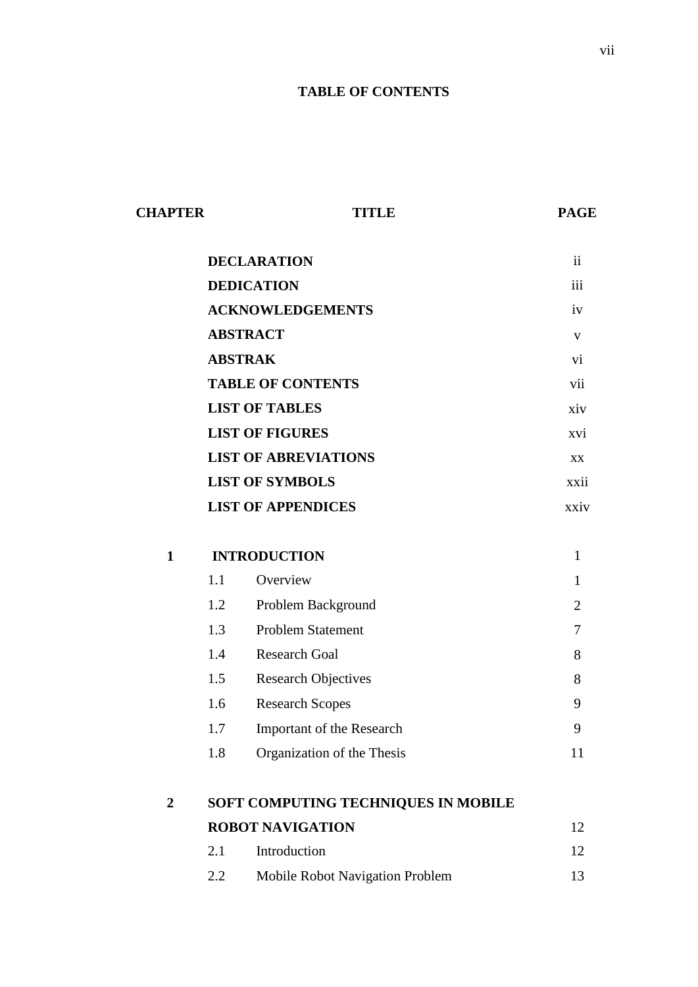# **TABLE OF CONTENTS**

| <b>CHAPTER</b> |                         | <b>TITLE</b>                        | <b>PAGE</b>     |  |  |
|----------------|-------------------------|-------------------------------------|-----------------|--|--|
|                | <b>DECLARATION</b>      | $\mathbf{ii}$                       |                 |  |  |
|                |                         | <b>DEDICATION</b>                   | iii             |  |  |
|                | <b>ACKNOWLEDGEMENTS</b> |                                     |                 |  |  |
|                |                         | <b>ABSTRACT</b>                     | V               |  |  |
|                |                         | <b>ABSTRAK</b>                      | $\overline{vi}$ |  |  |
|                |                         | <b>TABLE OF CONTENTS</b>            | vii             |  |  |
|                |                         | <b>LIST OF TABLES</b>               | xiv             |  |  |
|                |                         | <b>LIST OF FIGURES</b>              | xvi             |  |  |
|                |                         | <b>LIST OF ABREVIATIONS</b>         | XX              |  |  |
|                |                         | <b>LIST OF SYMBOLS</b>              | xxii            |  |  |
|                |                         | <b>LIST OF APPENDICES</b>           | xxiv            |  |  |
| $\mathbf{1}$   |                         | <b>INTRODUCTION</b>                 | $\mathbf{1}$    |  |  |
|                | 1.1                     | Overview                            | $\mathbf{1}$    |  |  |
|                | 1.2                     | Problem Background                  | $\overline{2}$  |  |  |
|                | 1.3                     | <b>Problem Statement</b>            | $\overline{7}$  |  |  |
|                | 1.4                     | <b>Research Goal</b>                | 8               |  |  |
|                | 1.5                     | <b>Research Objectives</b>          | 8               |  |  |
|                | 1.6                     | <b>Research Scopes</b>              | 9               |  |  |
|                | 1.7                     | Important of the Research           | 9               |  |  |
|                | 1.8                     | Organization of the Thesis          | 11              |  |  |
| $\overline{2}$ |                         | SOFT COMPUTING TECHNIQUES IN MOBILE |                 |  |  |
|                |                         | <b>ROBOT NAVIGATION</b>             | 12              |  |  |
|                | 2.1                     | Introduction                        | 12              |  |  |
|                | 2.2                     | Mobile Robot Navigation Problem     | 13              |  |  |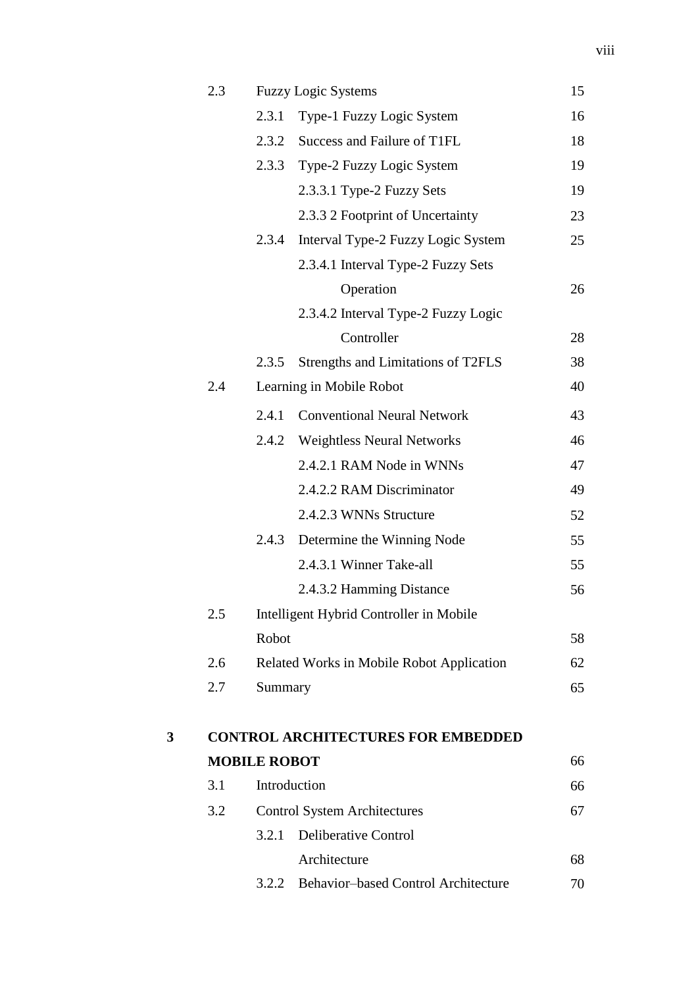|   | 2.3 |                     | <b>Fuzzy Logic Systems</b>                 | 15 |
|---|-----|---------------------|--------------------------------------------|----|
|   |     | 2.3.1               | Type-1 Fuzzy Logic System                  | 16 |
|   |     | 2.3.2               | Success and Failure of T1FL                | 18 |
|   |     | 2.3.3               | Type-2 Fuzzy Logic System                  | 19 |
|   |     |                     | 2.3.3.1 Type-2 Fuzzy Sets                  | 19 |
|   |     |                     | 2.3.3 2 Footprint of Uncertainty           | 23 |
|   |     | 2.3.4               | Interval Type-2 Fuzzy Logic System         | 25 |
|   |     |                     | 2.3.4.1 Interval Type-2 Fuzzy Sets         |    |
|   |     |                     | Operation                                  | 26 |
|   |     |                     | 2.3.4.2 Interval Type-2 Fuzzy Logic        |    |
|   |     |                     | Controller                                 | 28 |
|   |     | 2.3.5               | Strengths and Limitations of T2FLS         | 38 |
|   | 2.4 |                     | Learning in Mobile Robot                   | 40 |
|   |     | 2.4.1               | <b>Conventional Neural Network</b>         | 43 |
|   |     |                     | 2.4.2 Weightless Neural Networks           | 46 |
|   |     |                     | 2.4.2.1 RAM Node in WNNs                   | 47 |
|   |     |                     | 2.4.2.2 RAM Discriminator                  | 49 |
|   |     |                     | 2.4.2.3 WNNs Structure                     | 52 |
|   |     | 2.4.3               | Determine the Winning Node                 | 55 |
|   |     |                     | 2.4.3.1 Winner Take-all                    | 55 |
|   |     |                     | 2.4.3.2 Hamming Distance                   | 56 |
|   | 2.5 |                     | Intelligent Hybrid Controller in Mobile    |    |
|   |     | Robot               |                                            | 58 |
|   | 2.6 |                     | Related Works in Mobile Robot Application  | 62 |
|   | 2.7 | Summary             |                                            | 65 |
|   |     |                     |                                            |    |
| 3 |     |                     | <b>CONTROL ARCHITECTURES FOR EMBEDDED</b>  |    |
|   |     | <b>MOBILE ROBOT</b> |                                            | 66 |
|   | 3.1 |                     | Introduction                               | 66 |
|   | 3.2 |                     | <b>Control System Architectures</b>        | 67 |
|   |     | 3.2.1               | <b>Deliberative Control</b>                |    |
|   |     |                     | Architecture                               | 68 |
|   |     | 3.2.2               | <b>Behavior-based Control Architecture</b> | 70 |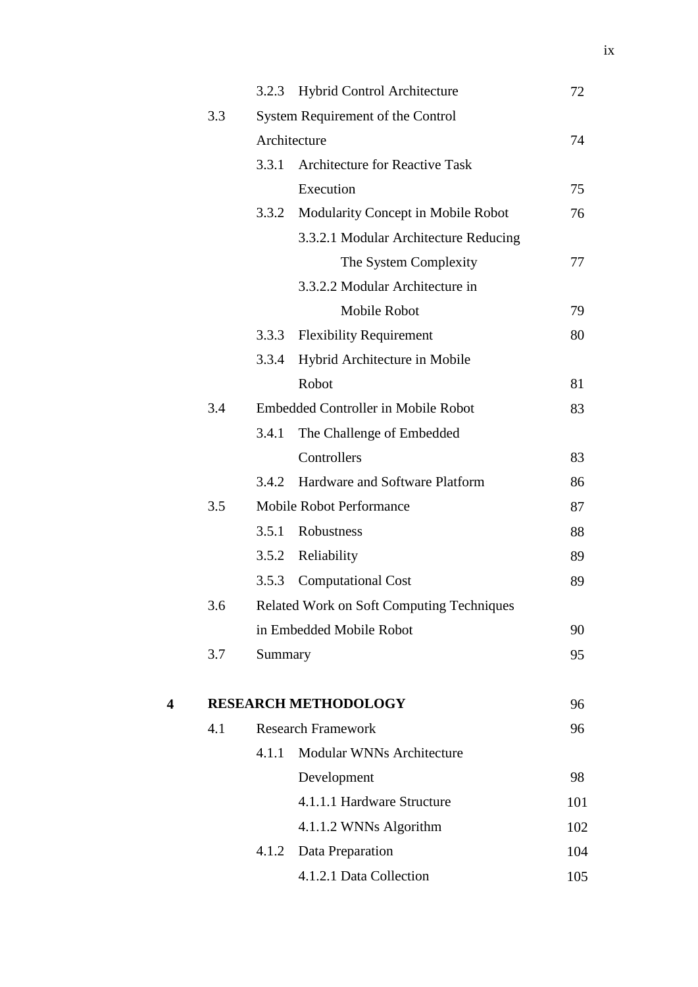|   |     | 3.2.3   | <b>Hybrid Control Architecture</b>        | 72  |
|---|-----|---------|-------------------------------------------|-----|
|   | 3.3 |         | System Requirement of the Control         |     |
|   |     |         | Architecture                              | 74  |
|   |     | 3.3.1   | <b>Architecture for Reactive Task</b>     |     |
|   |     |         | Execution                                 | 75  |
|   |     | 3.3.2   | Modularity Concept in Mobile Robot        | 76  |
|   |     |         | 3.3.2.1 Modular Architecture Reducing     |     |
|   |     |         | The System Complexity                     | 77  |
|   |     |         | 3.3.2.2 Modular Architecture in           |     |
|   |     |         | Mobile Robot                              | 79  |
|   |     | 3.3.3   | <b>Flexibility Requirement</b>            | 80  |
|   |     | 3.3.4   | Hybrid Architecture in Mobile             |     |
|   |     |         | Robot                                     | 81  |
|   | 3.4 |         | Embedded Controller in Mobile Robot       | 83  |
|   |     | 3.4.1   | The Challenge of Embedded                 |     |
|   |     |         | Controllers                               | 83  |
|   |     | 3.4.2   | Hardware and Software Platform            | 86  |
|   | 3.5 |         | <b>Mobile Robot Performance</b>           | 87  |
|   |     | 3.5.1   | Robustness                                | 88  |
|   |     | 3.5.2   | Reliability                               | 89  |
|   |     | 3.5.3   | <b>Computational Cost</b>                 | 89  |
|   | 3.6 |         | Related Work on Soft Computing Techniques |     |
|   |     |         | in Embedded Mobile Robot                  | 90  |
|   | 3.7 | Summary |                                           | 95  |
| 4 |     |         | <b>RESEARCH METHODOLOGY</b>               | 96  |
|   | 4.1 |         | <b>Research Framework</b>                 | 96  |
|   |     | 4.1.1   | <b>Modular WNNs Architecture</b>          |     |
|   |     |         | Development                               | 98  |
|   |     |         | 4.1.1.1 Hardware Structure                | 101 |
|   |     |         | 4.1.1.2 WNNs Algorithm                    | 102 |
|   |     | 4.1.2   | Data Preparation                          | 104 |
|   |     |         | 4.1.2.1 Data Collection                   | 105 |
|   |     |         |                                           |     |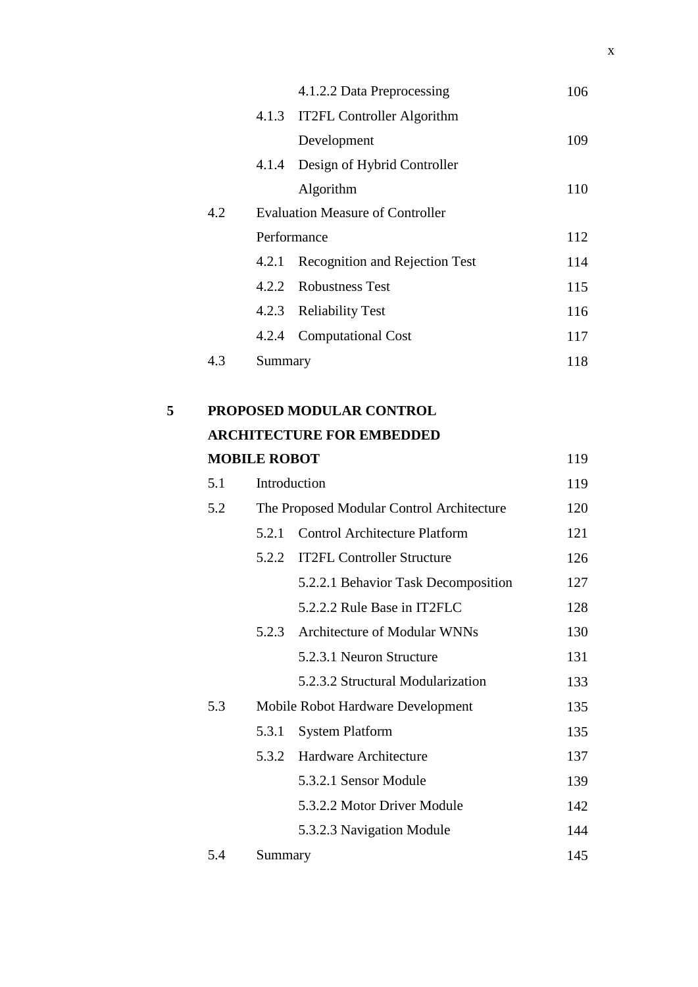|     |         | 4.1.2.2 Data Preprocessing              | 106 |
|-----|---------|-----------------------------------------|-----|
|     |         | 4.1.3 IT2FL Controller Algorithm        |     |
|     |         | Development                             | 109 |
|     | 4.1.4   | Design of Hybrid Controller             |     |
|     |         | Algorithm                               | 110 |
| 4.2 |         | <b>Evaluation Measure of Controller</b> |     |
|     |         | Performance                             | 112 |
|     | 4.2.1   | <b>Recognition and Rejection Test</b>   | 114 |
|     |         | 4.2.2 Robustness Test                   | 115 |
|     |         | 4.2.3 Reliability Test                  | 116 |
|     | 4.2.4   | <b>Computational Cost</b>               | 117 |
| 4.3 | Summary |                                         | 118 |
|     |         |                                         |     |

| 5 | <b>PROPOSED MODULAR CONTROL</b>  |     |
|---|----------------------------------|-----|
|   | <b>ARCHITECTURE FOR EMBEDDED</b> |     |
|   | <b>MOBILE ROBOT</b>              | 119 |

| 5.1 | Introduction |                                           |     |
|-----|--------------|-------------------------------------------|-----|
| 5.2 |              | The Proposed Modular Control Architecture | 120 |
|     | 5.2.1        | <b>Control Architecture Platform</b>      | 121 |
|     | 5.2.2        | <b>IT2FL Controller Structure</b>         | 126 |
|     |              | 5.2.2.1 Behavior Task Decomposition       | 127 |
|     |              | 5.2.2.2 Rule Base in IT2FLC               | 128 |
|     | 5.2.3        | Architecture of Modular WNNs              | 130 |
|     |              | 5.2.3.1 Neuron Structure                  | 131 |
|     |              | 5.2.3.2 Structural Modularization         | 133 |
| 5.3 |              | Mobile Robot Hardware Development         | 135 |
|     | 5.3.1        | <b>System Platform</b>                    | 135 |
|     | 5.3.2        | Hardware Architecture                     | 137 |
|     |              | 5.3.2.1 Sensor Module                     | 139 |
|     |              | 5.3.2.2 Motor Driver Module               | 142 |
|     |              | 5.3.2.3 Navigation Module                 | 144 |
| 5.4 | Summary      |                                           | 145 |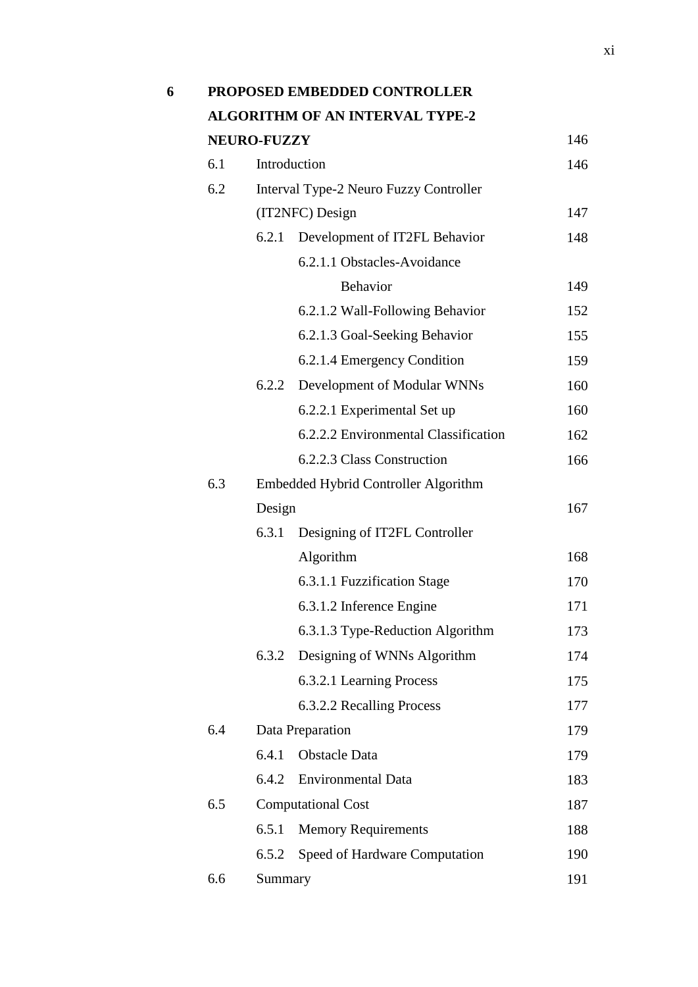|     |                    | PROPOSED EMBEDDED CONTROLLER           |     |
|-----|--------------------|----------------------------------------|-----|
|     |                    | <b>ALGORITHM OF AN INTERVAL TYPE-2</b> |     |
|     | <b>NEURO-FUZZY</b> |                                        | 146 |
| 6.1 |                    | Introduction                           | 146 |
| 6.2 |                    | Interval Type-2 Neuro Fuzzy Controller |     |
|     |                    | (IT2NFC) Design                        | 147 |
|     | 6.2.1              | Development of IT2FL Behavior          | 148 |
|     |                    | 6.2.1.1 Obstacles-Avoidance            |     |
|     |                    | <b>Behavior</b>                        | 149 |
|     |                    | 6.2.1.2 Wall-Following Behavior        | 152 |
|     |                    | 6.2.1.3 Goal-Seeking Behavior          | 155 |
|     |                    | 6.2.1.4 Emergency Condition            | 159 |
|     | 6.2.2              | Development of Modular WNNs            | 160 |
|     |                    | 6.2.2.1 Experimental Set up            | 160 |
|     |                    | 6.2.2.2 Environmental Classification   | 162 |
|     |                    | 6.2.2.3 Class Construction             | 166 |
| 6.3 |                    | Embedded Hybrid Controller Algorithm   |     |
|     | Design             |                                        | 167 |
|     | 6.3.1              | Designing of IT2FL Controller          |     |
|     |                    | Algorithm                              | 168 |
|     |                    | 6.3.1.1 Fuzzification Stage            | 170 |
|     |                    | 6.3.1.2 Inference Engine               | 171 |
|     |                    | 6.3.1.3 Type-Reduction Algorithm       | 173 |
|     | 6.3.2              | Designing of WNNs Algorithm            | 174 |
|     |                    | 6.3.2.1 Learning Process               | 175 |
|     |                    | 6.3.2.2 Recalling Process              | 177 |
| 6.4 |                    | Data Preparation                       | 179 |
|     | 6.4.1              | <b>Obstacle Data</b>                   | 179 |
|     | 6.4.2              | <b>Environmental Data</b>              | 183 |
| 6.5 |                    | <b>Computational Cost</b>              | 187 |
|     | 6.5.1              | <b>Memory Requirements</b>             | 188 |
|     | 6.5.2              | Speed of Hardware Computation          | 190 |
| 6.6 | Summary            |                                        | 191 |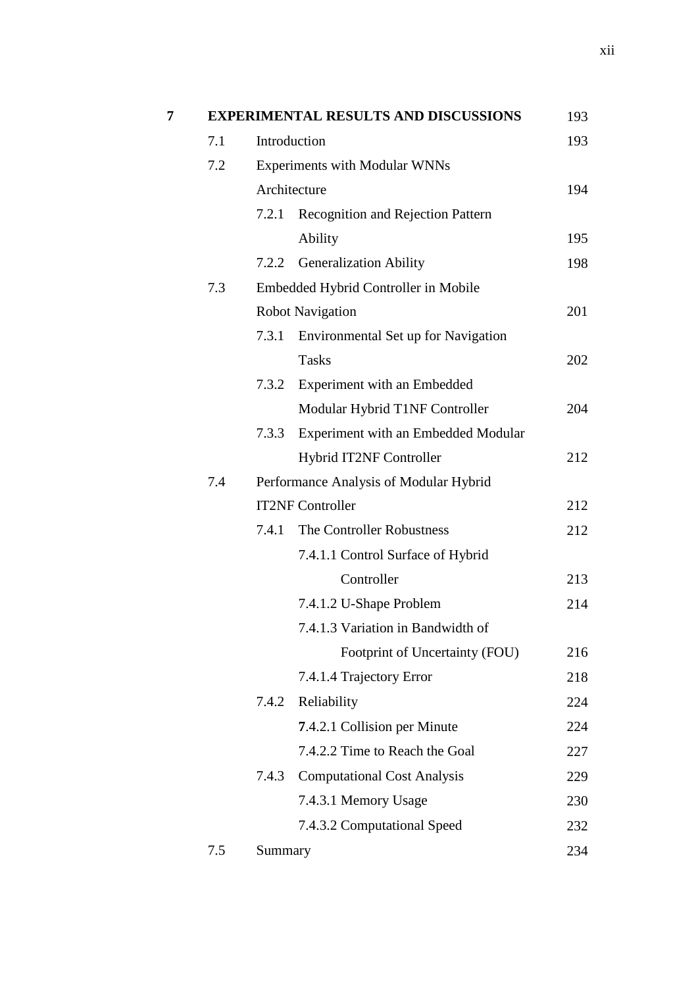|     |         | <b>EXPERIMENTAL RESULTS AND DISCUSSIONS</b> | 193 |
|-----|---------|---------------------------------------------|-----|
| 7.1 |         | Introduction                                | 193 |
| 7.2 |         | <b>Experiments with Modular WNNs</b>        |     |
|     |         | Architecture                                | 194 |
|     | 7.2.1   | <b>Recognition and Rejection Pattern</b>    |     |
|     |         | Ability                                     | 195 |
|     | 7.2.2   | <b>Generalization Ability</b>               | 198 |
| 7.3 |         | Embedded Hybrid Controller in Mobile        |     |
|     |         | <b>Robot Navigation</b>                     | 201 |
|     | 7.3.1   | Environmental Set up for Navigation         |     |
|     |         | <b>Tasks</b>                                | 202 |
|     | 7.3.2   | Experiment with an Embedded                 |     |
|     |         | Modular Hybrid T1NF Controller              | 204 |
|     | 7.3.3   | Experiment with an Embedded Modular         |     |
|     |         | Hybrid IT2NF Controller                     | 212 |
| 7.4 |         | Performance Analysis of Modular Hybrid      |     |
|     |         | <b>IT2NF Controller</b>                     | 212 |
|     | 7.4.1   | The Controller Robustness                   | 212 |
|     |         | 7.4.1.1 Control Surface of Hybrid           |     |
|     |         | Controller                                  | 213 |
|     |         | 7.4.1.2 U-Shape Problem                     | 214 |
|     |         | 7.4.1.3 Variation in Bandwidth of           |     |
|     |         | Footprint of Uncertainty (FOU)              | 216 |
|     |         | 7.4.1.4 Trajectory Error                    | 218 |
|     | 7.4.2   | Reliability                                 | 224 |
|     |         | 7.4.2.1 Collision per Minute                | 224 |
|     |         | 7.4.2.2 Time to Reach the Goal              | 227 |
|     | 7.4.3   | <b>Computational Cost Analysis</b>          | 229 |
|     |         | 7.4.3.1 Memory Usage                        | 230 |
|     |         | 7.4.3.2 Computational Speed                 | 232 |
| 7.5 | Summary |                                             | 234 |